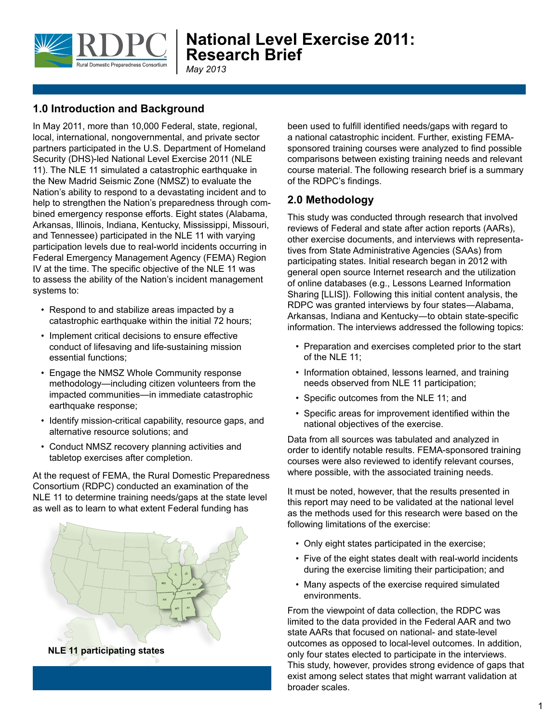

Prepare For The Worst, Train To Be The Best

*May 2013*

### **1.0 Introduction and Background**

In May 2011, more than 10,000 Federal, state, regional, local, international, nongovernmental, and private sector partners participated in the U.S. Department of Homeland Security (DHS)-led National Level Exercise 2011 (NLE 11). The NLE 11 simulated a catastrophic earthquake in the New Madrid Seismic Zone (NMSZ) to evaluate the Nation's ability to respond to a devastating incident and to help to strengthen the Nation's preparedness through combined emergency response efforts. Eight states (Alabama, Arkansas, Illinois, Indiana, Kentucky, Mississippi, Missouri, and Tennessee) participated in the NLE 11 with varying participation levels due to real-world incidents occurring in Federal Emergency Management Agency (FEMA) Region IV at the time. The specific objective of the NLE 11 was to assess the ability of the Nation's incident management systems to:

- Respond to and stabilize areas impacted by a catastrophic earthquake within the initial 72 hours;
- Implement critical decisions to ensure effective conduct of lifesaving and life-sustaining mission essential functions;
- Engage the NMSZ Whole Community response methodology—including citizen volunteers from the impacted communities—in immediate catastrophic earthquake response;
- Identify mission-critical capability, resource gaps, and alternative resource solutions; and
- Conduct NMSZ recovery planning activities and tabletop exercises after completion.

At the request of FEMA, the Rural Domestic Preparedness Consortium (RDPC) conducted an examination of the NLE 11 to determine training needs/gaps at the state level as well as to learn to what extent Federal funding has



**NLE 11 participating states**

been used to fulfill identified needs/gaps with regard to a national catastrophic incident. Further, existing FEMAsponsored training courses were analyzed to find possible comparisons between existing training needs and relevant course material. The following research brief is a summary of the RDPC's findings.

#### **2.0 Methodology**

This study was conducted through research that involved reviews of Federal and state after action reports (AARs), other exercise documents, and interviews with representatives from State Administrative Agencies (SAAs) from participating states. Initial research began in 2012 with general open source Internet research and the utilization of online databases (e.g., Lessons Learned Information Sharing [LLIS]). Following this initial content analysis, the RDPC was granted interviews by four states―Alabama, Arkansas, Indiana and Kentucky―to obtain state-specific information. The interviews addressed the following topics:

- Preparation and exercises completed prior to the start of the NLE 11;
- Information obtained, lessons learned, and training needs observed from NLE 11 participation;
- Specific outcomes from the NLE 11; and
- Specific areas for improvement identified within the national objectives of the exercise.

Data from all sources was tabulated and analyzed in order to identify notable results. FEMA-sponsored training courses were also reviewed to identify relevant courses, where possible, with the associated training needs.

It must be noted, however, that the results presented in this report may need to be validated at the national level as the methods used for this research were based on the following limitations of the exercise:

- Only eight states participated in the exercise;
- Five of the eight states dealt with real-world incidents during the exercise limiting their participation; and
- Many aspects of the exercise required simulated environments.

From the viewpoint of data collection, the RDPC was limited to the data provided in the Federal AAR and two state AARs that focused on national- and state-level outcomes as opposed to local-level outcomes. In addition, only four states elected to participate in the interviews. This study, however, provides strong evidence of gaps that exist among select states that might warrant validation at broader scales.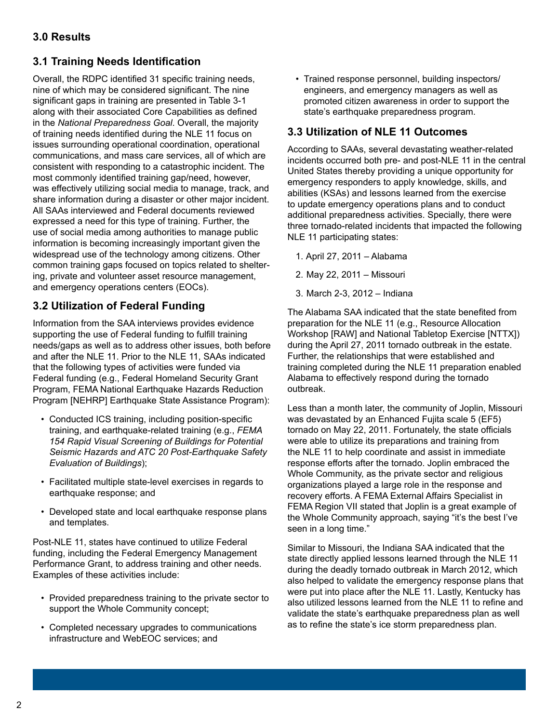## **3.1 Training Needs Identification**

Overall, the RDPC identified 31 specific training needs, nine of which may be considered significant. The nine significant gaps in training are presented in Table 3-1 along with their associated Core Capabilities as defined in the *National Preparedness Goal*. Overall, the majority of training needs identified during the NLE 11 focus on issues surrounding operational coordination, operational communications, and mass care services, all of which are consistent with responding to a catastrophic incident. The most commonly identified training gap/need, however, was effectively utilizing social media to manage, track, and share information during a disaster or other major incident. All SAAs interviewed and Federal documents reviewed expressed a need for this type of training. Further, the use of social media among authorities to manage public information is becoming increasingly important given the widespread use of the technology among citizens. Other common training gaps focused on topics related to sheltering, private and volunteer asset resource management, and emergency operations centers (EOCs).

# **3.2 Utilization of Federal Funding**

Information from the SAA interviews provides evidence supporting the use of Federal funding to fulfill training needs/gaps as well as to address other issues, both before and after the NLE 11. Prior to the NLE 11, SAAs indicated that the following types of activities were funded via Federal funding (e.g., Federal Homeland Security Grant Program, FEMA National Earthquake Hazards Reduction Program [NEHRP] Earthquake State Assistance Program):

- Conducted ICS training, including position-specific training, and earthquake-related training (e.g., *FEMA 154 Rapid Visual Screening of Buildings for Potential Seismic Hazards and ATC 20 Post-Earthquake Safety Evaluation of Buildings*);
- Facilitated multiple state-level exercises in regards to earthquake response; and
- Developed state and local earthquake response plans and templates.

Post-NLE 11, states have continued to utilize Federal funding, including the Federal Emergency Management Performance Grant, to address training and other needs. Examples of these activities include:

- Provided preparedness training to the private sector to support the Whole Community concept;
- Completed necessary upgrades to communications infrastructure and WebEOC services; and

• Trained response personnel, building inspectors/ engineers, and emergency managers as well as promoted citizen awareness in order to support the state's earthquake preparedness program.

#### **3.3 Utilization of NLE 11 Outcomes**

According to SAAs, several devastating weather-related incidents occurred both pre- and post-NLE 11 in the central United States thereby providing a unique opportunity for emergency responders to apply knowledge, skills, and abilities (KSAs) and lessons learned from the exercise to update emergency operations plans and to conduct additional preparedness activities. Specially, there were three tornado-related incidents that impacted the following NLE 11 participating states:

- 1. April 27, 2011 Alabama
- 2. May 22, 2011 Missouri
- 3. March 2-3, 2012 Indiana

The Alabama SAA indicated that the state benefited from preparation for the NLE 11 (e.g., Resource Allocation Workshop [RAW] and National Tabletop Exercise [NTTX]) during the April 27, 2011 tornado outbreak in the estate. Further, the relationships that were established and training completed during the NLE 11 preparation enabled Alabama to effectively respond during the tornado outbreak.

Less than a month later, the community of Joplin, Missouri was devastated by an Enhanced Fujita scale 5 (EF5) tornado on May 22, 2011. Fortunately, the state officials were able to utilize its preparations and training from the NLE 11 to help coordinate and assist in immediate response efforts after the tornado. Joplin embraced the Whole Community, as the private sector and religious organizations played a large role in the response and recovery efforts. A FEMA External Affairs Specialist in FEMA Region VII stated that Joplin is a great example of the Whole Community approach, saying "it's the best I've seen in a long time."

Similar to Missouri, the Indiana SAA indicated that the state directly applied lessons learned through the NLE 11 during the deadly tornado outbreak in March 2012, which also helped to validate the emergency response plans that were put into place after the NLE 11. Lastly, Kentucky has also utilized lessons learned from the NLE 11 to refine and validate the state's earthquake preparedness plan as well as to refine the state's ice storm preparedness plan.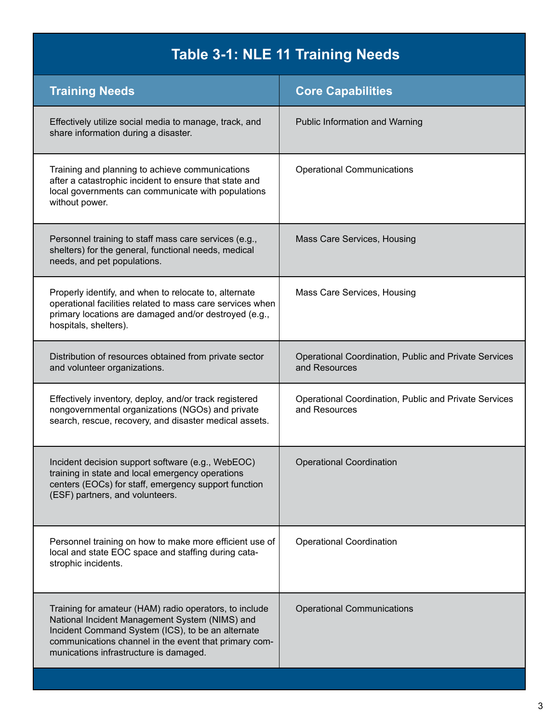# **Table 3-1: NLE 11 Training Needs**

| <b>Training Needs</b>                                                                                                                                                                                                                                            | <b>Core Capabilities</b>                                               |
|------------------------------------------------------------------------------------------------------------------------------------------------------------------------------------------------------------------------------------------------------------------|------------------------------------------------------------------------|
| Effectively utilize social media to manage, track, and<br>share information during a disaster.                                                                                                                                                                   | <b>Public Information and Warning</b>                                  |
| Training and planning to achieve communications<br>after a catastrophic incident to ensure that state and<br>local governments can communicate with populations<br>without power.                                                                                | <b>Operational Communications</b>                                      |
| Personnel training to staff mass care services (e.g.,<br>shelters) for the general, functional needs, medical<br>needs, and pet populations.                                                                                                                     | Mass Care Services, Housing                                            |
| Properly identify, and when to relocate to, alternate<br>operational facilities related to mass care services when<br>primary locations are damaged and/or destroyed (e.g.,<br>hospitals, shelters).                                                             | Mass Care Services, Housing                                            |
| Distribution of resources obtained from private sector<br>and volunteer organizations.                                                                                                                                                                           | Operational Coordination, Public and Private Services<br>and Resources |
| Effectively inventory, deploy, and/or track registered<br>nongovernmental organizations (NGOs) and private<br>search, rescue, recovery, and disaster medical assets.                                                                                             | Operational Coordination, Public and Private Services<br>and Resources |
| Incident decision support software (e.g., WebEOC)<br>training in state and local emergency operations<br>centers (EOCs) for staff, emergency support function<br>(ESF) partners, and volunteers.                                                                 | <b>Operational Coordination</b>                                        |
| Personnel training on how to make more efficient use of<br>local and state EOC space and staffing during cata-<br>strophic incidents.                                                                                                                            | <b>Operational Coordination</b>                                        |
| Training for amateur (HAM) radio operators, to include<br>National Incident Management System (NIMS) and<br>Incident Command System (ICS), to be an alternate<br>communications channel in the event that primary com-<br>munications infrastructure is damaged. | <b>Operational Communications</b>                                      |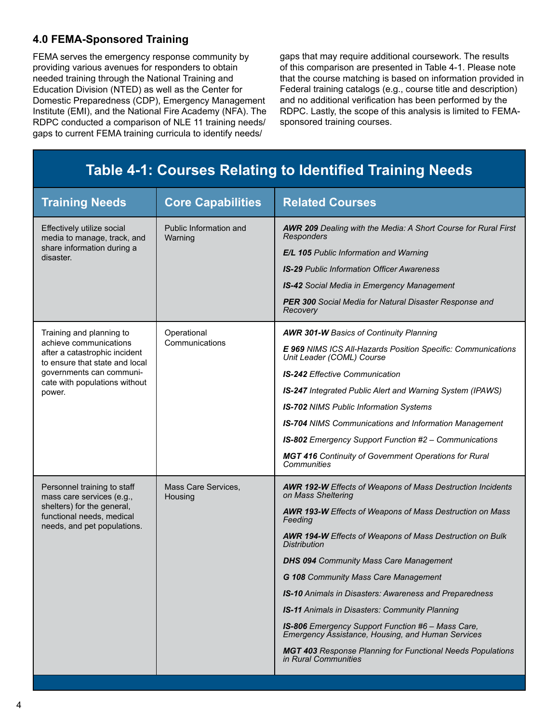#### **4.0 FEMA-Sponsored Training**

FEMA serves the emergency response community by providing various avenues for responders to obtain needed training through the National Training and Education Division (NTED) as well as the Center for Domestic Preparedness (CDP), Emergency Management Institute (EMI), and the National Fire Academy (NFA). The RDPC conducted a comparison of NLE 11 training needs/ gaps to current FEMA training curricula to identify needs/

gaps that may require additional coursework. The results of this comparison are presented in Table 4-1. Please note that the course matching is based on information provided in Federal training catalogs (e.g., course title and description) and no additional verification has been performed by the RDPC. Lastly, the scope of this analysis is limited to FEMAsponsored training courses.

#### **Table 4-1: Courses Relating to Identified Training Needs Training Needs Core Capabilities Related Courses** Effectively utilize social media to manage, track, and share information during a disaster. Public Information and Warning *AWR 209 Dealing with the Media: A Short Course for Rural First Responders E/L 105 Public Information and Warning IS-29 Public Information Officer Awareness IS-42 Social Media in Emergency Management PER 300 Social Media for Natural Disaster Response and Recovery* Training and planning to achieve communications after a catastrophic incident to ensure that state and local governments can communicate with populations without power. **Operational Communications** *AWR 301-W Basics of Continuity Planning E 969 NIMS ICS All-Hazards Position Specific: Communications Unit Leader (COML) Course IS-242 Effective Communication IS-247 Integrated Public Alert and Warning System (IPAWS) IS-702 NIMS Public Information Systems IS-704 NIMS Communications and Information Management IS-802 Emergency Support Function #2 – Communications MGT 416 Continuity of Government Operations for Rural Communities* Personnel training to staff mass care services (e.g., shelters) for the general, functional needs, medical needs, and pet populations. Mass Care Services, Housing *AWR 192-W Effects of Weapons of Mass Destruction Incidents on Mass Sheltering AWR 193-W Effects of Weapons of Mass Destruction on Mass Feeding AWR 194-W Effects of Weapons of Mass Destruction on Bulk Distribution DHS 094 Community Mass Care Management G 108 Community Mass Care Management IS-10 Animals in Disasters: Awareness and Preparedness IS-11 Animals in Disasters: Community Planning IS-806 Emergency Support Function #6 – Mass Care, Emergency Assistance, Housing, and Human Services MGT 403 Response Planning for Functional Needs Populations in Rural Communities*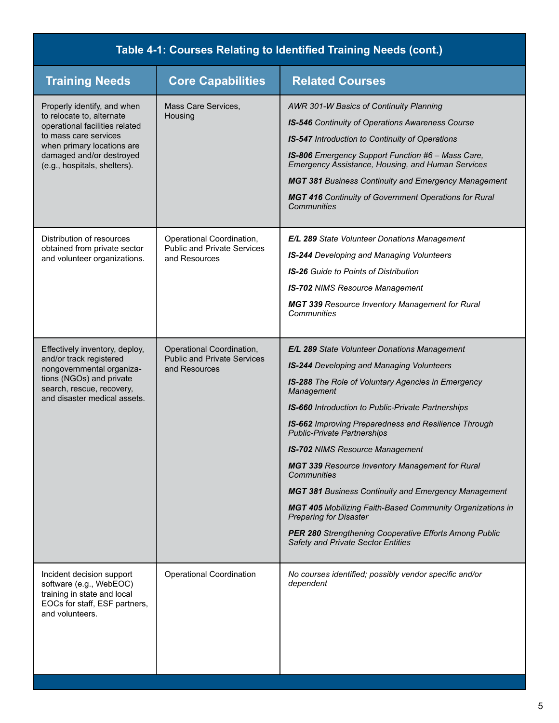| Table 4-1: Courses Relating to Identified Training Needs (cont.)                                                                                                                                              |                                                                                  |                                                                                                                                                                                                                                                                                                                                                                                                                                                                                                                                                                                                                                                                                                                 |  |
|---------------------------------------------------------------------------------------------------------------------------------------------------------------------------------------------------------------|----------------------------------------------------------------------------------|-----------------------------------------------------------------------------------------------------------------------------------------------------------------------------------------------------------------------------------------------------------------------------------------------------------------------------------------------------------------------------------------------------------------------------------------------------------------------------------------------------------------------------------------------------------------------------------------------------------------------------------------------------------------------------------------------------------------|--|
| <b>Training Needs</b>                                                                                                                                                                                         | <b>Core Capabilities</b>                                                         | <b>Related Courses</b>                                                                                                                                                                                                                                                                                                                                                                                                                                                                                                                                                                                                                                                                                          |  |
| Properly identify, and when<br>to relocate to, alternate<br>operational facilities related<br>to mass care services<br>when primary locations are<br>damaged and/or destroyed<br>(e.g., hospitals, shelters). | Mass Care Services.<br>Housing                                                   | AWR 301-W Basics of Continuity Planning<br>IS-546 Continuity of Operations Awareness Course<br>IS-547 Introduction to Continuity of Operations<br>IS-806 Emergency Support Function #6 - Mass Care,<br>Emergency Assistance, Housing, and Human Services<br><b>MGT 381 Business Continuity and Emergency Management</b><br><b>MGT 416</b> Continuity of Government Operations for Rural<br>Communities                                                                                                                                                                                                                                                                                                          |  |
| Distribution of resources<br>obtained from private sector<br>and volunteer organizations.                                                                                                                     | Operational Coordination,<br><b>Public and Private Services</b><br>and Resources | E/L 289 State Volunteer Donations Management<br><b>IS-244</b> Developing and Managing Volunteers<br><b>IS-26</b> Guide to Points of Distribution<br><b>IS-702 NIMS Resource Management</b><br><b>MGT 339 Resource Inventory Management for Rural</b><br>Communities                                                                                                                                                                                                                                                                                                                                                                                                                                             |  |
| Effectively inventory, deploy,<br>and/or track registered<br>nongovernmental organiza-<br>tions (NGOs) and private<br>search, rescue, recovery,<br>and disaster medical assets.                               | Operational Coordination,<br><b>Public and Private Services</b><br>and Resources | E/L 289 State Volunteer Donations Management<br><b>IS-244</b> Developing and Managing Volunteers<br>IS-288 The Role of Voluntary Agencies in Emergency<br>Management<br>IS-660 Introduction to Public-Private Partnerships<br>IS-662 Improving Preparedness and Resilience Through<br><b>Public-Private Partnerships</b><br><b>IS-702 NIMS Resource Management</b><br><b>MGT 339 Resource Inventory Management for Rural</b><br>Communities<br><b>MGT 381 Business Continuity and Emergency Management</b><br><b>MGT 405 Mobilizing Faith-Based Community Organizations in</b><br><b>Preparing for Disaster</b><br>PER 280 Strengthening Cooperative Efforts Among Public<br>Safety and Private Sector Entities |  |
| Incident decision support<br>software (e.g., WebEOC)<br>training in state and local<br>EOCs for staff, ESF partners,<br>and volunteers.                                                                       | Operational Coordination                                                         | No courses identified; possibly vendor specific and/or<br>dependent                                                                                                                                                                                                                                                                                                                                                                                                                                                                                                                                                                                                                                             |  |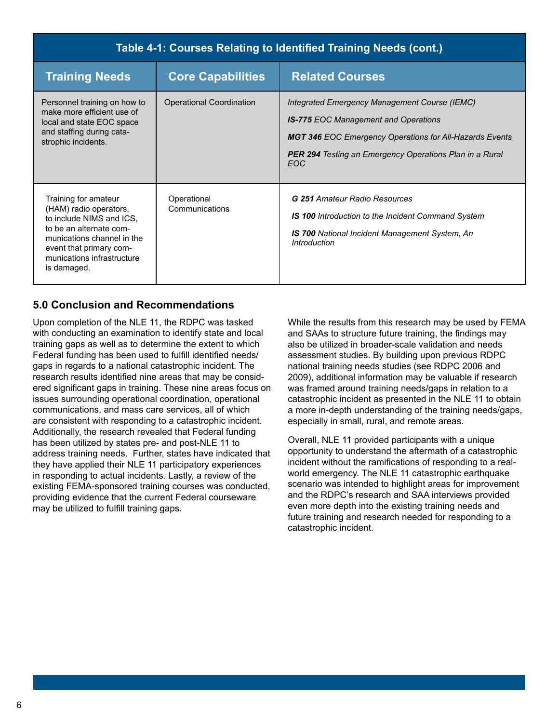| Table 4-1: Courses Relating to Identified Training Needs (cont.)                                                                                                                                            |                                 |                                                                                                                                                                                                                                         |  |
|-------------------------------------------------------------------------------------------------------------------------------------------------------------------------------------------------------------|---------------------------------|-----------------------------------------------------------------------------------------------------------------------------------------------------------------------------------------------------------------------------------------|--|
| <b>Training Needs</b>                                                                                                                                                                                       | <b>Core Capabilities</b>        | <b>Related Courses</b>                                                                                                                                                                                                                  |  |
| Personnel training on how to<br>make more efficient use of<br>local and state EOC space<br>and staffing during cata-<br>strophic incidents.                                                                 | <b>Operational Coordination</b> | Integrated Emergency Management Course (IEMC)<br><b>IS-775 EOC Management and Operations</b><br><b>MGT 346 EOC Emergency Operations for All-Hazards Events</b><br><b>PER 294</b> Testing an Emergency Operations Plan in a Rural<br>EOC |  |
| Training for amateur<br>(HAM) radio operators,<br>to include NIMS and ICS,<br>to be an alternate com-<br>munications channel in the<br>event that primary com-<br>munications infrastructure<br>is damaged. | Operational<br>Communications   | <b>G 251 Amateur Radio Resources</b><br><b>IS 100</b> Introduction to the Incident Command System<br><b>IS 700 National Incident Management System, An</b><br>Introduction                                                              |  |

#### **5.0 Conclusion and Recommendations**

Upon completion of the NLE 11, the RDPC was tasked with conducting an examination to identify state and local training gaps as well as to determine the extent to which Federal funding has been used to fulfill identified needs/ gaps in regards to a national catastrophic incident. The research results identified nine areas that may be considered significant gaps in training. These nine areas focus on issues surrounding operational coordination, operational communications, and mass care services, all of which are consistent with responding to a catastrophic incident. Additionally, the research revealed that Federal funding has been utilized by states pre- and post-NLE 11 to address training needs. Further, states have indicated that they have applied their NLE 11 participatory experiences in responding to actual incidents. Lastly, a review of the existing FEMA-sponsored training courses was conducted, providing evidence that the current Federal courseware may be utilized to fulfill training gaps.

While the results from this research may be used by FEMA and SAAs to structure future training, the findings may also be utilized in broader-scale validation and needs assessment studies. By building upon previous RDPC national training needs studies (see RDPC 2006 and 2009), additional information may be valuable if research was framed around training needs/gaps in relation to a catastrophic incident as presented in the NLE 11 to obtain a more in-depth understanding of the training needs/gaps, especially in small, rural, and remote areas.

Overall, NLE 11 provided participants with a unique opportunity to understand the aftermath of a catastrophic incident without the ramifications of responding to a realworld emergency. The NLE 11 catastrophic earthquake scenario was intended to highlight areas for improvement and the RDPC's research and SAA interviews provided even more depth into the existing training needs and future training and research needed for responding to a catastrophic incident.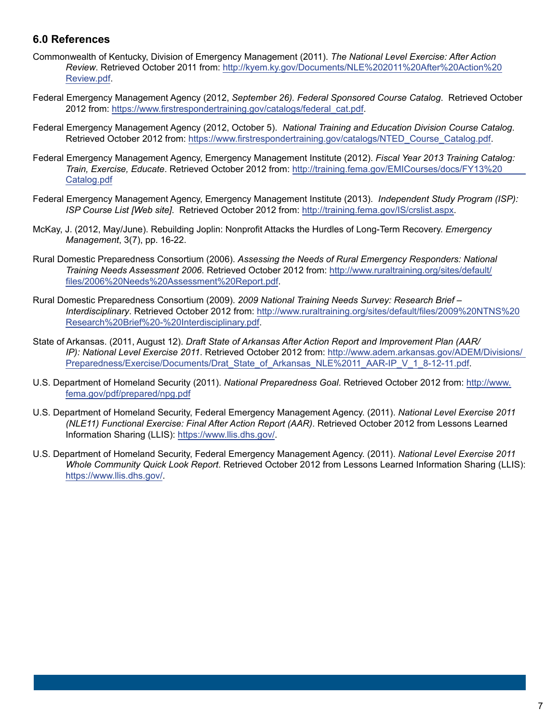#### **6.0 References**

- Commonwealth of Kentucky, Division of Emergency Management (2011). *The National Level Exercise: After Action Review*. Retrieved October 2011 from: http://kyem.ky.gov/Documents/NLE%202011%20After%20Action%20 Review.pdf.
- Federal Emergency Management Agency (2012, *September 26). Federal Sponsored Course Catalog*. Retrieved October 2012 from: https://www.firstrespondertraining.gov/catalogs/federal\_cat.pdf.
- Federal Emergency Management Agency (2012, October 5). *National Training and Education Division Course Catalog*. Retrieved October 2012 from: https://www.firstrespondertraining.gov/catalogs/NTED\_Course\_Catalog.pdf.
- Federal Emergency Management Agency, Emergency Management Institute (2012). *Fiscal Year 2013 Training Catalog: Train, Exercise, Educate*. Retrieved October 2012 from: http://training.fema.gov/EMICourses/docs/FY13%20 Catalog.pdf
- Federal Emergency Management Agency, Emergency Management Institute (2013). *Independent Study Program (ISP): ISP Course List [Web site]*. Retrieved October 2012 from: http://training.fema.gov/IS/crslist.aspx.
- McKay, J. (2012, May/June). Rebuilding Joplin: Nonprofit Attacks the Hurdles of Long-Term Recovery. *Emergency Management*, 3(7), pp. 16-22.
- Rural Domestic Preparedness Consortium (2006). *Assessing the Needs of Rural Emergency Responders: National Training Needs Assessment 2006*. Retrieved October 2012 from: http://www.ruraltraining.org/sites/default/ files/2006%20Needs%20Assessment%20Report.pdf.
- Rural Domestic Preparedness Consortium (2009). *2009 National Training Needs Survey: Research Brief Interdisciplinary*. Retrieved October 2012 from: http://www.ruraltraining.org/sites/default/files/2009%20NTNS%20 Research%20Brief%20-%20Interdisciplinary.pdf.
- State of Arkansas. (2011, August 12). *Draft State of Arkansas After Action Report and Improvement Plan (AAR/ IP): National Level Exercise 2011*. Retrieved October 2012 from: http://www.adem.arkansas.gov/ADEM/Divisions/ Preparedness/Exercise/Documents/Drat\_State\_of\_Arkansas\_NLE%2011\_AAR-IP\_V\_1\_8-12-11.pdf.
- U.S. Department of Homeland Security (2011). *National Preparedness Goal*. Retrieved October 2012 from: http://www. fema.gov/pdf/prepared/npg.pdf
- U.S. Department of Homeland Security, Federal Emergency Management Agency. (2011). *National Level Exercise 2011 (NLE11) Functional Exercise: Final After Action Report (AAR)*. Retrieved October 2012 from Lessons Learned Information Sharing (LLIS): https://www.llis.dhs.gov/.
- U.S. Department of Homeland Security, Federal Emergency Management Agency. (2011). *National Level Exercise 2011 Whole Community Quick Look Report*. Retrieved October 2012 from Lessons Learned Information Sharing (LLIS): https://www.llis.dhs.gov/.